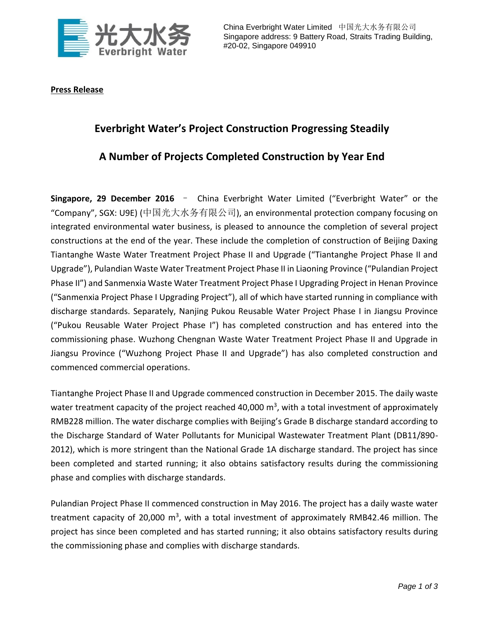

China Everbright Water Limited 中国光大水务有限公司 Singapore address: 9 Battery Road, Straits Trading Building, #20-02, Singapore 049910

## **Press Release**

## **Everbright Water's Project Construction Progressing Steadily**

## **A Number of Projects Completed Construction by Year End**

**Singapore, 29 December 2016** – China Everbright Water Limited ("Everbright Water" or the "Company", SGX: U9E) (中国光大水务有限公司), an environmental protection company focusing on integrated environmental water business, is pleased to announce the completion of several project constructions at the end of the year. These include the completion of construction of Beijing Daxing Tiantanghe Waste Water Treatment Project Phase II and Upgrade ("Tiantanghe Project Phase II and Upgrade"), Pulandian Waste Water Treatment Project Phase II in Liaoning Province ("Pulandian Project Phase II") and Sanmenxia Waste Water Treatment Project Phase I Upgrading Project in Henan Province ("Sanmenxia Project Phase I Upgrading Project"), all of which have started running in compliance with discharge standards. Separately, Nanjing Pukou Reusable Water Project Phase I in Jiangsu Province ("Pukou Reusable Water Project Phase I") has completed construction and has entered into the commissioning phase. Wuzhong Chengnan Waste Water Treatment Project Phase II and Upgrade in Jiangsu Province ("Wuzhong Project Phase II and Upgrade") has also completed construction and commenced commercial operations.

Tiantanghe Project Phase II and Upgrade commenced construction in December 2015. The daily waste water treatment capacity of the project reached 40,000  $\text{m}^3$ , with a total investment of approximately RMB228 million. The water discharge complies with Beijing's Grade B discharge standard according to the Discharge Standard of Water Pollutants for Municipal Wastewater Treatment Plant (DB11/890- 2012), which is more stringent than the National Grade 1A discharge standard. The project has since been completed and started running; it also obtains satisfactory results during the commissioning phase and complies with discharge standards.

Pulandian Project Phase II commenced construction in May 2016. The project has a daily waste water treatment capacity of 20,000 m<sup>3</sup>, with a total investment of approximately RMB42.46 million. The project has since been completed and has started running; it also obtains satisfactory results during the commissioning phase and complies with discharge standards.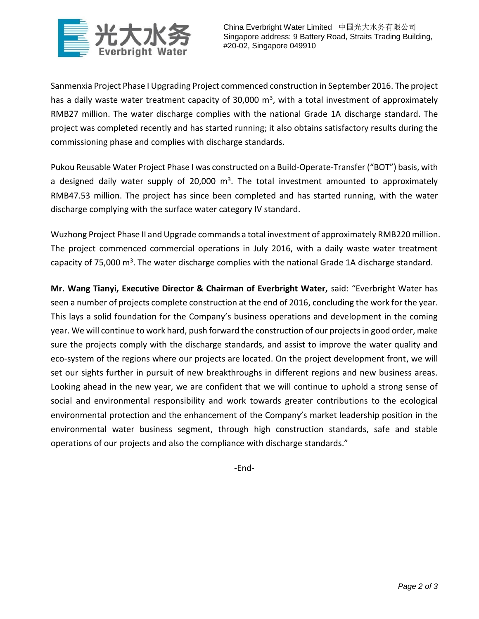

Sanmenxia Project Phase I Upgrading Project commenced construction in September 2016. The project has a daily waste water treatment capacity of 30,000  $m<sup>3</sup>$ , with a total investment of approximately RMB27 million. The water discharge complies with the national Grade 1A discharge standard. The project was completed recently and has started running; it also obtains satisfactory results during the commissioning phase and complies with discharge standards.

Pukou Reusable Water Project Phase I was constructed on a Build-Operate-Transfer ("BOT") basis, with a designed daily water supply of 20,000  $m<sup>3</sup>$ . The total investment amounted to approximately RMB47.53 million. The project has since been completed and has started running, with the water discharge complying with the surface water category IV standard.

Wuzhong Project Phase II and Upgrade commands a total investment of approximately RMB220 million. The project commenced commercial operations in July 2016, with a daily waste water treatment capacity of 75,000 m<sup>3</sup>. The water discharge complies with the national Grade 1A discharge standard.

**Mr. Wang Tianyi, Executive Director & Chairman of Everbright Water,** said: "Everbright Water has seen a number of projects complete construction at the end of 2016, concluding the work for the year. This lays a solid foundation for the Company's business operations and development in the coming year. We will continue to work hard, push forward the construction of our projects in good order, make sure the projects comply with the discharge standards, and assist to improve the water quality and eco-system of the regions where our projects are located. On the project development front, we will set our sights further in pursuit of new breakthroughs in different regions and new business areas. Looking ahead in the new year, we are confident that we will continue to uphold a strong sense of social and environmental responsibility and work towards greater contributions to the ecological environmental protection and the enhancement of the Company's market leadership position in the environmental water business segment, through high construction standards, safe and stable operations of our projects and also the compliance with discharge standards."

-End-